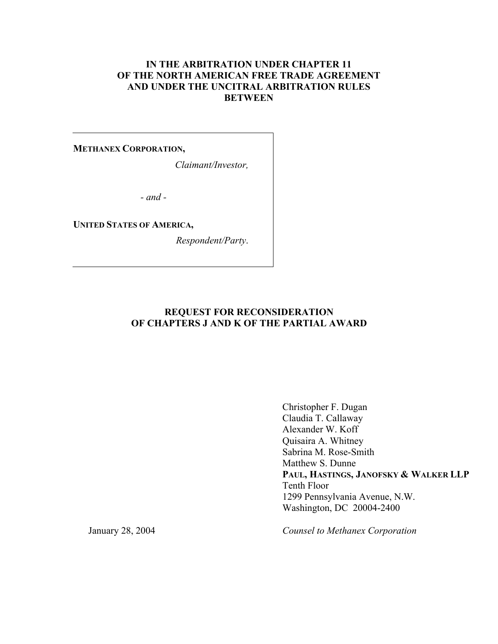# **IN THE ARBITRATION UNDER CHAPTER 11 OF THE NORTH AMERICAN FREE TRADE AGREEMENT AND UNDER THE UNCITRAL ARBITRATION RULES BETWEEN**

#### **METHANEX CORPORATION,**

*Claimant/Investor,*

*- and -* 

#### **UNITED STATES OF AMERICA,**

*Respondent/Party*.

### **REQUEST FOR RECONSIDERATION OF CHAPTERS J AND K OF THE PARTIAL AWARD**

Christopher F. Dugan Claudia T. Callaway Alexander W. Koff Quisaira A. Whitney Sabrina M. Rose-Smith Matthew S. Dunne **PAUL, HASTINGS, JANOFSKY & WALKER LLP** Tenth Floor 1299 Pennsylvania Avenue, N.W. Washington, DC 20004-2400

January 28, 2004

*Counsel to Methanex Corporation*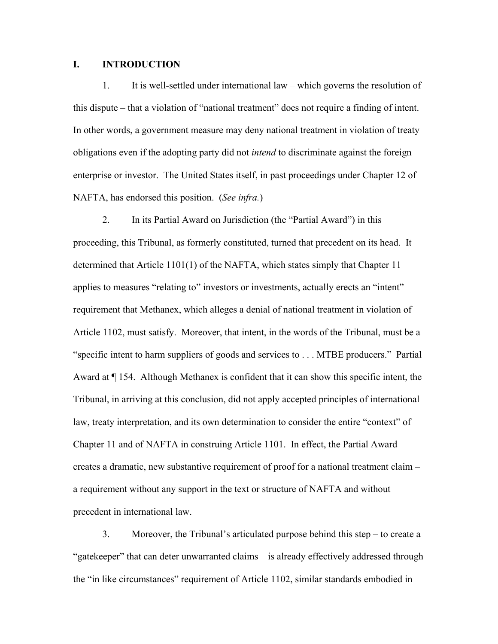#### **I. INTRODUCTION**

1. It is well-settled under international law – which governs the resolution of this dispute – that a violation of "national treatment" does not require a finding of intent. In other words, a government measure may deny national treatment in violation of treaty obligations even if the adopting party did not *intend* to discriminate against the foreign enterprise or investor. The United States itself, in past proceedings under Chapter 12 of NAFTA, has endorsed this position. (*See infra.*)

2. In its Partial Award on Jurisdiction (the "Partial Award") in this proceeding, this Tribunal, as formerly constituted, turned that precedent on its head. It determined that Article 1101(1) of the NAFTA, which states simply that Chapter 11 applies to measures "relating to" investors or investments, actually erects an "intent" requirement that Methanex, which alleges a denial of national treatment in violation of Article 1102, must satisfy. Moreover, that intent, in the words of the Tribunal, must be a "specific intent to harm suppliers of goods and services to . . . MTBE producers." Partial Award at ¶ 154. Although Methanex is confident that it can show this specific intent, the Tribunal, in arriving at this conclusion, did not apply accepted principles of international law, treaty interpretation, and its own determination to consider the entire "context" of Chapter 11 and of NAFTA in construing Article 1101. In effect, the Partial Award creates a dramatic, new substantive requirement of proof for a national treatment claim – a requirement without any support in the text or structure of NAFTA and without precedent in international law.

3. Moreover, the Tribunal's articulated purpose behind this step – to create a "gatekeeper" that can deter unwarranted claims – is already effectively addressed through the "in like circumstances" requirement of Article 1102, similar standards embodied in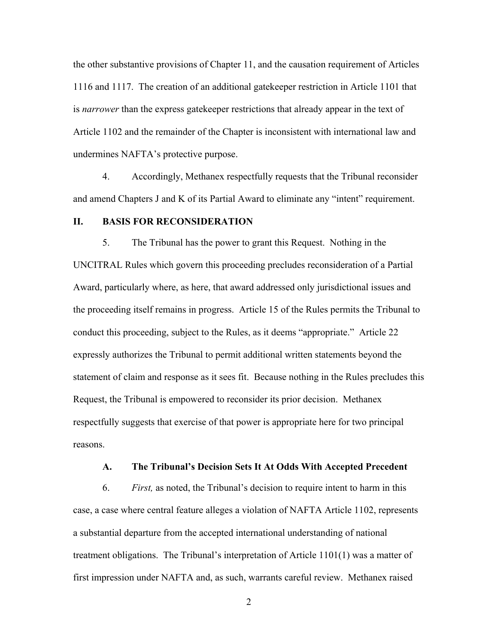the other substantive provisions of Chapter 11, and the causation requirement of Articles 1116 and 1117. The creation of an additional gatekeeper restriction in Article 1101 that is *narrower* than the express gatekeeper restrictions that already appear in the text of Article 1102 and the remainder of the Chapter is inconsistent with international law and undermines NAFTA's protective purpose.

4. Accordingly, Methanex respectfully requests that the Tribunal reconsider and amend Chapters J and K of its Partial Award to eliminate any "intent" requirement.

# **II. BASIS FOR RECONSIDERATION**

5. The Tribunal has the power to grant this Request. Nothing in the UNCITRAL Rules which govern this proceeding precludes reconsideration of a Partial Award, particularly where, as here, that award addressed only jurisdictional issues and the proceeding itself remains in progress. Article 15 of the Rules permits the Tribunal to conduct this proceeding, subject to the Rules, as it deems "appropriate." Article 22 expressly authorizes the Tribunal to permit additional written statements beyond the statement of claim and response as it sees fit. Because nothing in the Rules precludes this Request, the Tribunal is empowered to reconsider its prior decision. Methanex respectfully suggests that exercise of that power is appropriate here for two principal reasons.

#### **A. The Tribunal's Decision Sets It At Odds With Accepted Precedent**

6. *First,* as noted, the Tribunal's decision to require intent to harm in this case, a case where central feature alleges a violation of NAFTA Article 1102, represents a substantial departure from the accepted international understanding of national treatment obligations. The Tribunal's interpretation of Article 1101(1) was a matter of first impression under NAFTA and, as such, warrants careful review. Methanex raised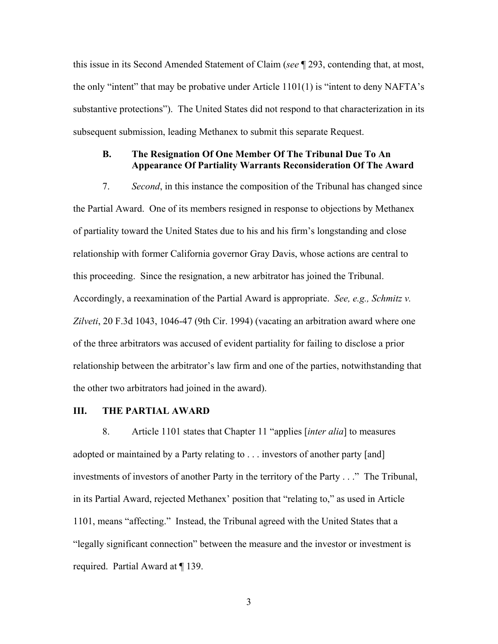this issue in its Second Amended Statement of Claim (*see* ¶ 293, contending that, at most, the only "intent" that may be probative under Article  $1101(1)$  is "intent to deny NAFTA's substantive protections"). The United States did not respond to that characterization in its subsequent submission, leading Methanex to submit this separate Request.

### **B. The Resignation Of One Member Of The Tribunal Due To An Appearance Of Partiality Warrants Reconsideration Of The Award**

7. *Second*, in this instance the composition of the Tribunal has changed since the Partial Award. One of its members resigned in response to objections by Methanex of partiality toward the United States due to his and his firm's longstanding and close relationship with former California governor Gray Davis, whose actions are central to this proceeding. Since the resignation, a new arbitrator has joined the Tribunal. Accordingly, a reexamination of the Partial Award is appropriate. *See, e.g., Schmitz v. Zilveti*, 20 F.3d 1043, 1046-47 (9th Cir. 1994) (vacating an arbitration award where one of the three arbitrators was accused of evident partiality for failing to disclose a prior relationship between the arbitrator's law firm and one of the parties, notwithstanding that the other two arbitrators had joined in the award).

#### **III. THE PARTIAL AWARD**

8. Article 1101 states that Chapter 11 "applies [*inter alia*] to measures adopted or maintained by a Party relating to . . . investors of another party [and] investments of investors of another Party in the territory of the Party . . ." The Tribunal, in its Partial Award, rejected Methanex' position that "relating to," as used in Article 1101, means "affecting." Instead, the Tribunal agreed with the United States that a "legally significant connection" between the measure and the investor or investment is required. Partial Award at ¶ 139.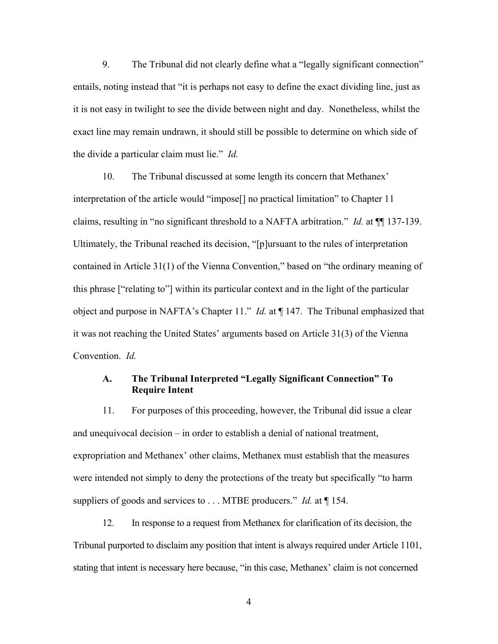9. The Tribunal did not clearly define what a "legally significant connection" entails, noting instead that "it is perhaps not easy to define the exact dividing line, just as it is not easy in twilight to see the divide between night and day. Nonetheless, whilst the exact line may remain undrawn, it should still be possible to determine on which side of the divide a particular claim must lie." *Id.*

10. The Tribunal discussed at some length its concern that Methanex' interpretation of the article would "impose[] no practical limitation" to Chapter 11 claims, resulting in "no significant threshold to a NAFTA arbitration." *Id.* at ¶¶ 137-139. Ultimately, the Tribunal reached its decision, "[p]ursuant to the rules of interpretation contained in Article 31(1) of the Vienna Convention," based on "the ordinary meaning of this phrase ["relating to"] within its particular context and in the light of the particular object and purpose in NAFTA's Chapter 11." *Id.* at ¶ 147. The Tribunal emphasized that it was not reaching the United States' arguments based on Article 31(3) of the Vienna Convention. *Id.* 

### **A. The Tribunal Interpreted "Legally Significant Connection" To Require Intent**

11. For purposes of this proceeding, however, the Tribunal did issue a clear and unequivocal decision – in order to establish a denial of national treatment, expropriation and Methanex' other claims, Methanex must establish that the measures were intended not simply to deny the protections of the treaty but specifically "to harm suppliers of goods and services to . . . MTBE producers." *Id.* at  $\P$  154.

12. In response to a request from Methanex for clarification of its decision, the Tribunal purported to disclaim any position that intent is always required under Article 1101, stating that intent is necessary here because, "in this case, Methanex' claim is not concerned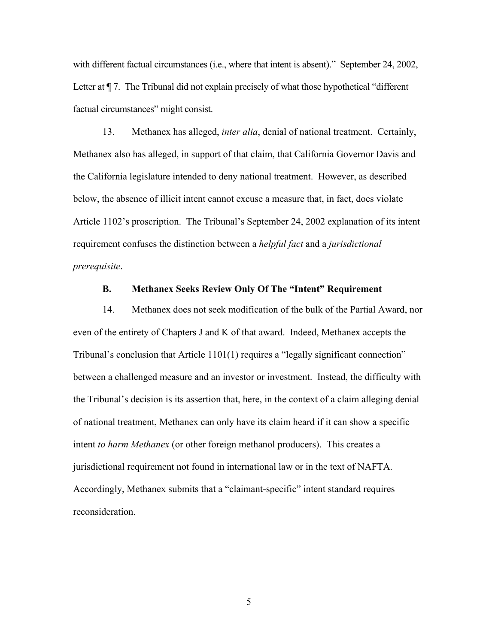with different factual circumstances (i.e., where that intent is absent)." September 24, 2002, Letter at  $\P$  7. The Tribunal did not explain precisely of what those hypothetical "different" factual circumstances" might consist.

13. Methanex has alleged, *inter alia*, denial of national treatment. Certainly, Methanex also has alleged, in support of that claim, that California Governor Davis and the California legislature intended to deny national treatment. However, as described below, the absence of illicit intent cannot excuse a measure that, in fact, does violate Article 1102's proscription. The Tribunal's September 24, 2002 explanation of its intent requirement confuses the distinction between a *helpful fact* and a *jurisdictional prerequisite*.

#### **B. Methanex Seeks Review Only Of The "Intent" Requirement**

14. Methanex does not seek modification of the bulk of the Partial Award, nor even of the entirety of Chapters J and K of that award. Indeed, Methanex accepts the Tribunal's conclusion that Article 1101(1) requires a "legally significant connection" between a challenged measure and an investor or investment. Instead, the difficulty with the Tribunal's decision is its assertion that, here, in the context of a claim alleging denial of national treatment, Methanex can only have its claim heard if it can show a specific intent *to harm Methanex* (or other foreign methanol producers). This creates a jurisdictional requirement not found in international law or in the text of NAFTA. Accordingly, Methanex submits that a "claimant-specific" intent standard requires reconsideration.

 $\overline{5}$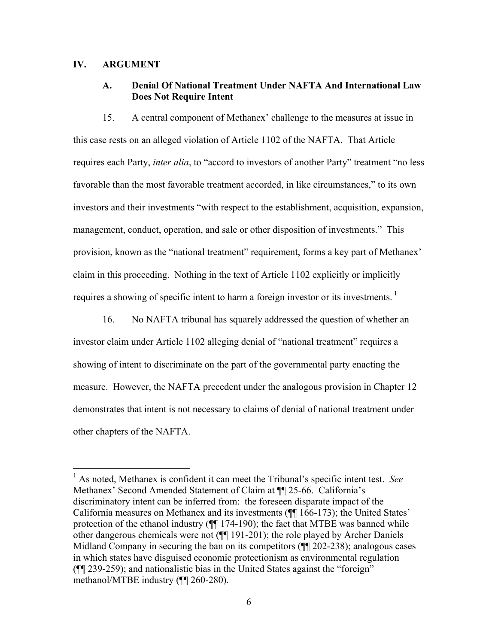### **IV. ARGUMENT**

 $\overline{a}$ 

# **A. Denial Of National Treatment Under NAFTA And International Law Does Not Require Intent**

15. A central component of Methanex' challenge to the measures at issue in this case rests on an alleged violation of Article 1102 of the NAFTA. That Article requires each Party, *inter alia*, to "accord to investors of another Party" treatment "no less favorable than the most favorable treatment accorded, in like circumstances," to its own investors and their investments "with respect to the establishment, acquisition, expansion, management, conduct, operation, and sale or other disposition of investments." This provision, known as the "national treatment" requirement, forms a key part of Methanex' claim in this proceeding. Nothing in the text of Article 1102 explicitly or implicitly requires a showing of specific intent to harm a foreign investor or its investments.  $\frac{1}{1}$ 

16. No NAFTA tribunal has squarely addressed the question of whether an investor claim under Article 1102 alleging denial of "national treatment" requires a showing of intent to discriminate on the part of the governmental party enacting the measure. However, the NAFTA precedent under the analogous provision in Chapter 12 demonstrates that intent is not necessary to claims of denial of national treatment under other chapters of the NAFTA.

<sup>1</sup> As noted, Methanex is confident it can meet the Tribunal's specific intent test. *See* Methanex' Second Amended Statement of Claim at ¶¶ 25-66. California's discriminatory intent can be inferred from: the foreseen disparate impact of the California measures on Methanex and its investments (¶¶ 166-173); the United States' protection of the ethanol industry (¶¶ 174-190); the fact that MTBE was banned while other dangerous chemicals were not (¶¶ 191-201); the role played by Archer Daniels Midland Company in securing the ban on its competitors ( $\P$ [202-238); analogous cases in which states have disguised economic protectionism as environmental regulation (¶¶ 239-259); and nationalistic bias in the United States against the "foreign" methanol/MTBE industry (¶¶ 260-280).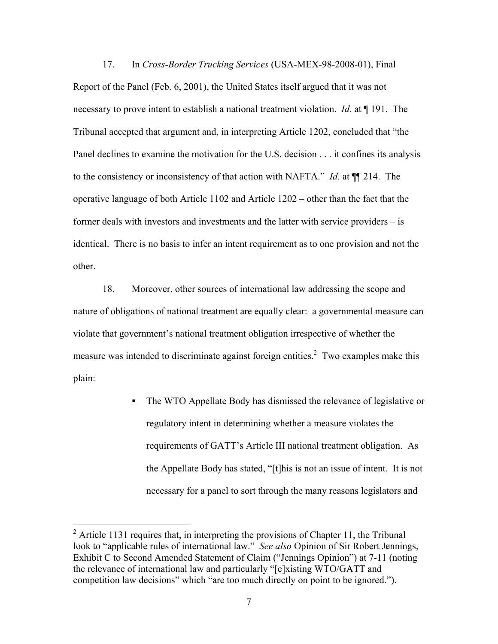17. In *Cross-Border Trucking Services* (USA-MEX-98-2008-01), Final Report of the Panel (Feb. 6, 2001), the United States itself argued that it was not necessary to prove intent to establish a national treatment violation. *Id.* at ¶ 191. The Tribunal accepted that argument and, in interpreting Article 1202, concluded that "the Panel declines to examine the motivation for the U.S. decision . . . it confines its analysis to the consistency or inconsistency of that action with NAFTA." *Id.* at ¶¶ 214. The operative language of both Article 1102 and Article 1202 – other than the fact that the former deals with investors and investments and the latter with service providers – is identical. There is no basis to infer an intent requirement as to one provision and not the other.

18. Moreover, other sources of international law addressing the scope and nature of obligations of national treatment are equally clear: a governmental measure can violate that government's national treatment obligation irrespective of whether the measure was intended to discriminate against foreign entities.<sup>2</sup> Two examples make this plain:

> The WTO Appellate Body has dismissed the relevance of legislative or regulatory intent in determining whether a measure violates the requirements of GATT's Article III national treatment obligation. As the Appellate Body has stated, "[t]his is not an issue of intent. It is not necessary for a panel to sort through the many reasons legislators and

<sup>&</sup>lt;sup>2</sup> Article 1131 requires that, in interpreting the provisions of Chapter 11, the Tribunal look to "applicable rules of international law." *See also* Opinion of Sir Robert Jennings, Exhibit C to Second Amended Statement of Claim ("Jennings Opinion") at 7-11 (noting the relevance of international law and particularly "[e]xisting WTO/GATT and competition law decisions" which "are too much directly on point to be ignored.").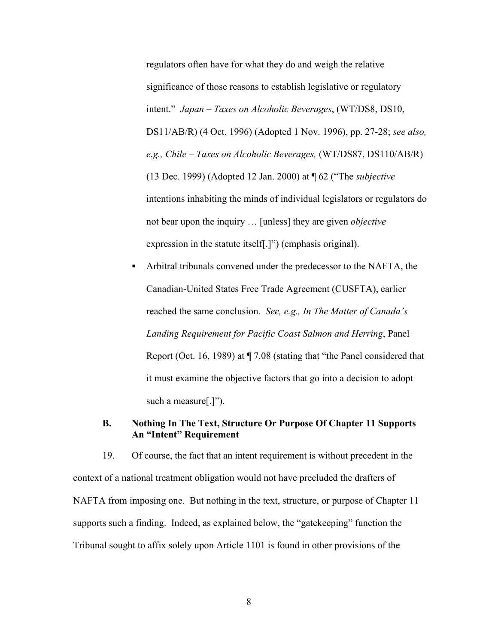regulators often have for what they do and weigh the relative significance of those reasons to establish legislative or regulatory intent." *Japan – Taxes on Alcoholic Beverages*, (WT/DS8, DS10, DS11/AB/R) (4 Oct. 1996) (Adopted 1 Nov. 1996), pp. 27-28; *see also, e.g., Chile – Taxes on Alcoholic Beverages,* (WT/DS87, DS110/AB/R) (13 Dec. 1999) (Adopted 12 Jan. 2000) at ¶ 62 ("The *subjective*  intentions inhabiting the minds of individual legislators or regulators do not bear upon the inquiry … [unless] they are given *objective*  expression in the statute itself[.]") (emphasis original).

 Arbitral tribunals convened under the predecessor to the NAFTA, the Canadian-United States Free Trade Agreement (CUSFTA), earlier reached the same conclusion. *See, e.g., In The Matter of Canada's Landing Requirement for Pacific Coast Salmon and Herring*, Panel Report (Oct. 16, 1989) at ¶ 7.08 (stating that "the Panel considered that it must examine the objective factors that go into a decision to adopt such a measure[.]").

#### **B. Nothing In The Text, Structure Or Purpose Of Chapter 11 Supports An "Intent" Requirement**

19. Of course, the fact that an intent requirement is without precedent in the context of a national treatment obligation would not have precluded the drafters of NAFTA from imposing one. But nothing in the text, structure, or purpose of Chapter 11 supports such a finding. Indeed, as explained below, the "gatekeeping" function the Tribunal sought to affix solely upon Article 1101 is found in other provisions of the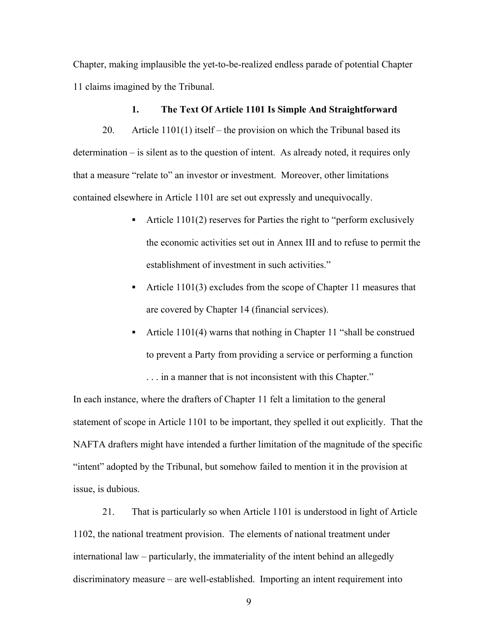Chapter, making implausible the yet-to-be-realized endless parade of potential Chapter 11 claims imagined by the Tribunal.

#### **1. The Text Of Article 1101 Is Simple And Straightforward**

20. Article 1101(1) itself – the provision on which the Tribunal based its determination – is silent as to the question of intent. As already noted, it requires only that a measure "relate to" an investor or investment. Moreover, other limitations contained elsewhere in Article 1101 are set out expressly and unequivocally.

- Article  $1101(2)$  reserves for Parties the right to "perform exclusively the economic activities set out in Annex III and to refuse to permit the establishment of investment in such activities."
- Article 1101(3) excludes from the scope of Chapter 11 measures that are covered by Chapter 14 (financial services).
- Article 1101(4) warns that nothing in Chapter 11 "shall be construed to prevent a Party from providing a service or performing a function . . . in a manner that is not inconsistent with this Chapter."

In each instance, where the drafters of Chapter 11 felt a limitation to the general statement of scope in Article 1101 to be important, they spelled it out explicitly. That the NAFTA drafters might have intended a further limitation of the magnitude of the specific "intent" adopted by the Tribunal, but somehow failed to mention it in the provision at issue, is dubious.

21. That is particularly so when Article 1101 is understood in light of Article 1102, the national treatment provision. The elements of national treatment under international law – particularly, the immateriality of the intent behind an allegedly discriminatory measure – are well-established. Importing an intent requirement into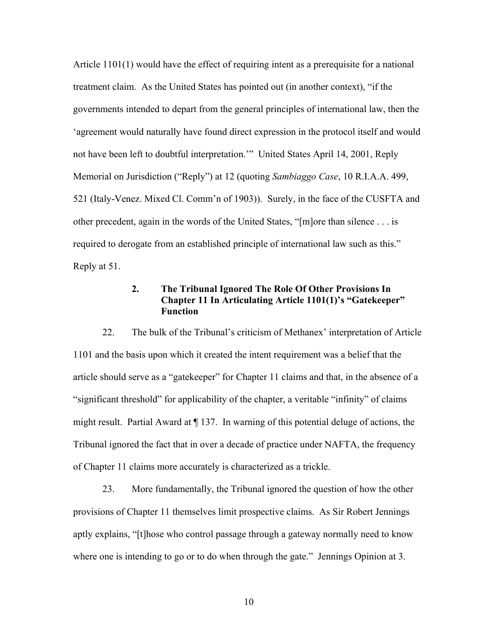Article 1101(1) would have the effect of requiring intent as a prerequisite for a national treatment claim. As the United States has pointed out (in another context), "if the governments intended to depart from the general principles of international law, then the 'agreement would naturally have found direct expression in the protocol itself and would not have been left to doubtful interpretation.'" United States April 14, 2001, Reply Memorial on Jurisdiction ("Reply") at 12 (quoting *Sambiaggo Case*, 10 R.I.A.A. 499, 521 (Italy-Venez. Mixed Cl. Comm'n of 1903)). Surely, in the face of the CUSFTA and other precedent, again in the words of the United States, "[m]ore than silence . . . is required to derogate from an established principle of international law such as this." Reply at 51.

# **2. The Tribunal Ignored The Role Of Other Provisions In Chapter 11 In Articulating Article 1101(1)'s "Gatekeeper" Function**

22. The bulk of the Tribunal's criticism of Methanex' interpretation of Article 1101 and the basis upon which it created the intent requirement was a belief that the article should serve as a "gatekeeper" for Chapter 11 claims and that, in the absence of a "significant threshold" for applicability of the chapter, a veritable "infinity" of claims might result. Partial Award at ¶ 137. In warning of this potential deluge of actions, the Tribunal ignored the fact that in over a decade of practice under NAFTA, the frequency of Chapter 11 claims more accurately is characterized as a trickle.

23. More fundamentally, the Tribunal ignored the question of how the other provisions of Chapter 11 themselves limit prospective claims. As Sir Robert Jennings aptly explains, "[t]hose who control passage through a gateway normally need to know where one is intending to go or to do when through the gate." Jennings Opinion at 3.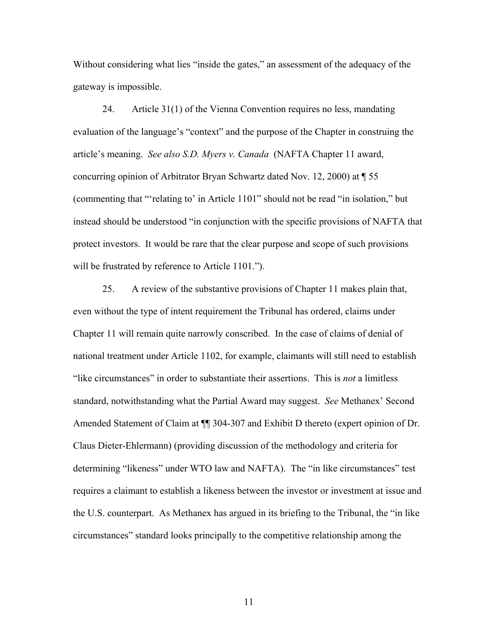Without considering what lies "inside the gates," an assessment of the adequacy of the gateway is impossible.

24. Article 31(1) of the Vienna Convention requires no less, mandating evaluation of the language's "context" and the purpose of the Chapter in construing the article's meaning. *See also S.D. Myers v. Canada* (NAFTA Chapter 11 award, concurring opinion of Arbitrator Bryan Schwartz dated Nov. 12, 2000) at ¶ 55 (commenting that "'relating to' in Article 1101" should not be read "in isolation," but instead should be understood "in conjunction with the specific provisions of NAFTA that protect investors. It would be rare that the clear purpose and scope of such provisions will be frustrated by reference to Article 1101.").

25. A review of the substantive provisions of Chapter 11 makes plain that, even without the type of intent requirement the Tribunal has ordered, claims under Chapter 11 will remain quite narrowly conscribed. In the case of claims of denial of national treatment under Article 1102, for example, claimants will still need to establish "like circumstances" in order to substantiate their assertions. This is *not* a limitless standard, notwithstanding what the Partial Award may suggest. *See* Methanex' Second Amended Statement of Claim at  $\P$  304-307 and Exhibit D thereto (expert opinion of Dr. Claus Dieter-Ehlermann) (providing discussion of the methodology and criteria for determining "likeness" under WTO law and NAFTA). The "in like circumstances" test requires a claimant to establish a likeness between the investor or investment at issue and the U.S. counterpart. As Methanex has argued in its briefing to the Tribunal, the "in like circumstances" standard looks principally to the competitive relationship among the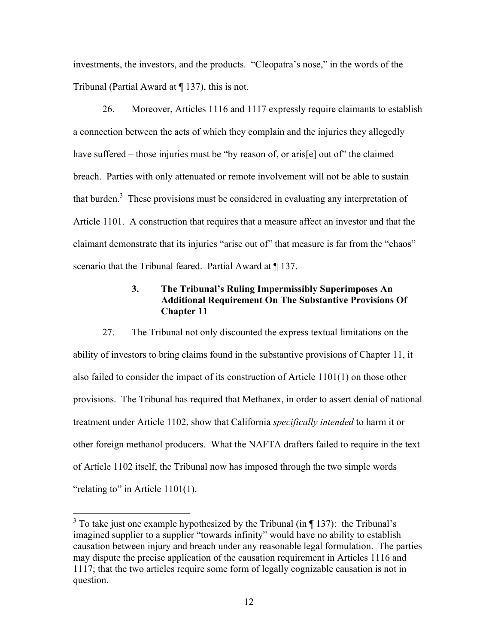investments, the investors, and the products. "Cleopatra's nose," in the words of the Tribunal (Partial Award at ¶ 137), this is not.

26. Moreover, Articles 1116 and 1117 expressly require claimants to establish a connection between the acts of which they complain and the injuries they allegedly have suffered – those injuries must be "by reason of, or aris[e] out of" the claimed breach. Parties with only attenuated or remote involvement will not be able to sustain that burden. $3$  These provisions must be considered in evaluating any interpretation of Article 1101. A construction that requires that a measure affect an investor and that the claimant demonstrate that its injuries "arise out of" that measure is far from the "chaos" scenario that the Tribunal feared. Partial Award at  $\P$  137.

# **3. The Tribunal's Ruling Impermissibly Superimposes An Additional Requirement On The Substantive Provisions Of Chapter 11**

27. The Tribunal not only discounted the express textual limitations on the ability of investors to bring claims found in the substantive provisions of Chapter 11, it also failed to consider the impact of its construction of Article 1101(1) on those other provisions. The Tribunal has required that Methanex, in order to assert denial of national treatment under Article 1102, show that California *specifically intended* to harm it or other foreign methanol producers. What the NAFTA drafters failed to require in the text of Article 1102 itself, the Tribunal now has imposed through the two simple words "relating to" in Article 1101(1).

 $\overline{a}$ 

<sup>&</sup>lt;sup>3</sup> To take just one example hypothesized by the Tribunal (in  $\P$  137): the Tribunal's imagined supplier to a supplier "towards infinity" would have no ability to establish causation between injury and breach under any reasonable legal formulation. The parties may dispute the precise application of the causation requirement in Articles 1116 and 1117; that the two articles require some form of legally cognizable causation is not in question.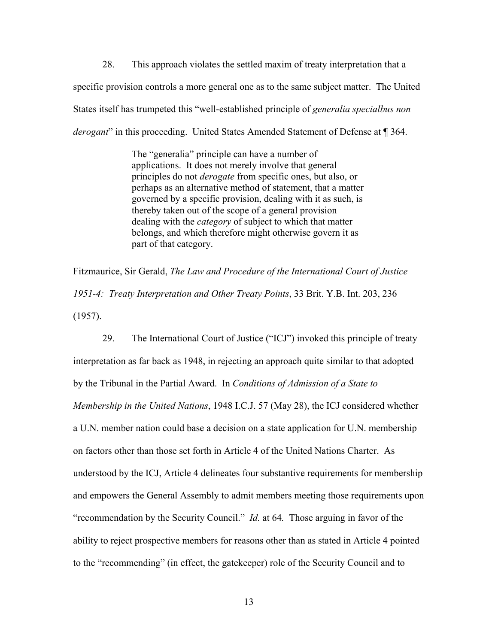28. This approach violates the settled maxim of treaty interpretation that a specific provision controls a more general one as to the same subject matter. The United States itself has trumpeted this "well-established principle of *generalia specialbus non derogant*" in this proceeding. United States Amended Statement of Defense at ¶ 364.

> The "generalia" principle can have a number of applications. It does not merely involve that general principles do not *derogate* from specific ones, but also, or perhaps as an alternative method of statement, that a matter governed by a specific provision, dealing with it as such, is thereby taken out of the scope of a general provision dealing with the *category* of subject to which that matter belongs, and which therefore might otherwise govern it as part of that category.

Fitzmaurice, Sir Gerald, *The Law and Procedure of the International Court of Justice 1951-4: Treaty Interpretation and Other Treaty Points*, 33 Brit. Y.B. Int. 203, 236 (1957).

29. The International Court of Justice ("ICJ") invoked this principle of treaty interpretation as far back as 1948, in rejecting an approach quite similar to that adopted by the Tribunal in the Partial Award. In *Conditions of Admission of a State to Membership in the United Nations*, 1948 I.C.J. 57 (May 28), the ICJ considered whether a U.N. member nation could base a decision on a state application for U.N. membership on factors other than those set forth in Article 4 of the United Nations Charter. As understood by the ICJ, Article 4 delineates four substantive requirements for membership and empowers the General Assembly to admit members meeting those requirements upon "recommendation by the Security Council." *Id.* at 64*.* Those arguing in favor of the ability to reject prospective members for reasons other than as stated in Article 4 pointed to the "recommending" (in effect, the gatekeeper) role of the Security Council and to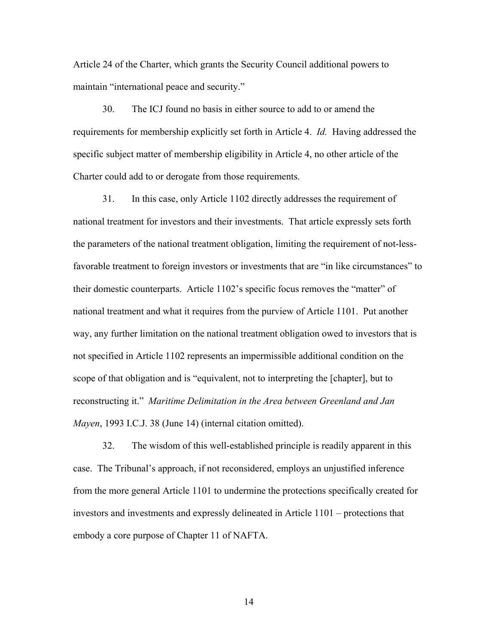Article 24 of the Charter, which grants the Security Council additional powers to maintain "international peace and security."

30. The ICJ found no basis in either source to add to or amend the requirements for membership explicitly set forth in Article 4. *Id.* Having addressed the specific subject matter of membership eligibility in Article 4, no other article of the Charter could add to or derogate from those requirements.

31. In this case, only Article 1102 directly addresses the requirement of national treatment for investors and their investments. That article expressly sets forth the parameters of the national treatment obligation, limiting the requirement of not-lessfavorable treatment to foreign investors or investments that are "in like circumstances" to their domestic counterparts. Article 1102's specific focus removes the "matter" of national treatment and what it requires from the purview of Article 1101. Put another way, any further limitation on the national treatment obligation owed to investors that is not specified in Article 1102 represents an impermissible additional condition on the scope of that obligation and is "equivalent, not to interpreting the [chapter], but to reconstructing it." *Maritime Delimitation in the Area between Greenland and Jan Mayen*, 1993 I.C.J. 38 (June 14) (internal citation omitted).

32. The wisdom of this well-established principle is readily apparent in this case. The Tribunal's approach, if not reconsidered, employs an unjustified inference from the more general Article 1101 to undermine the protections specifically created for investors and investments and expressly delineated in Article 1101 – protections that embody a core purpose of Chapter 11 of NAFTA.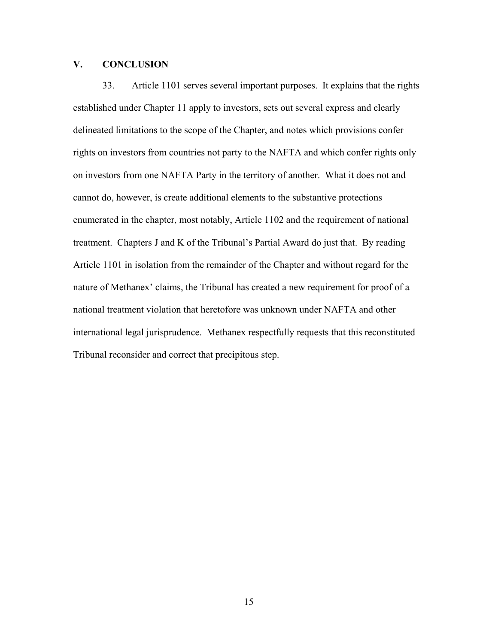# **V. CONCLUSION**

33. Article 1101 serves several important purposes. It explains that the rights established under Chapter 11 apply to investors, sets out several express and clearly delineated limitations to the scope of the Chapter, and notes which provisions confer rights on investors from countries not party to the NAFTA and which confer rights only on investors from one NAFTA Party in the territory of another. What it does not and cannot do, however, is create additional elements to the substantive protections enumerated in the chapter, most notably, Article 1102 and the requirement of national treatment. Chapters J and K of the Tribunal's Partial Award do just that. By reading Article 1101 in isolation from the remainder of the Chapter and without regard for the nature of Methanex' claims, the Tribunal has created a new requirement for proof of a national treatment violation that heretofore was unknown under NAFTA and other international legal jurisprudence. Methanex respectfully requests that this reconstituted Tribunal reconsider and correct that precipitous step.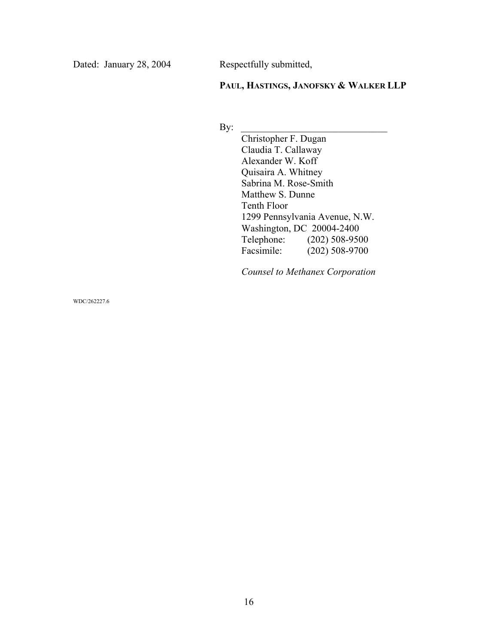Dated: January 28, 2004 Respectfully submitted,

**PAUL, HASTINGS, JANOFSKY & WALKER LLP**

By:  $\Box$ 

 Christopher F. Dugan Claudia T. Callaway Alexander W. Koff Quisaira A. Whitney Sabrina M. Rose-Smith Matthew S. Dunne Tenth Floor 1299 Pennsylvania Avenue, N.W. Washington, DC 20004-2400<br>Telephone: (202) 508-950 Telephone: (202) 508-9500<br>Facsimile: (202) 508-9700  $(202)$  508-9700

 *Counsel to Methanex Corporation* 

WDC/262227.6